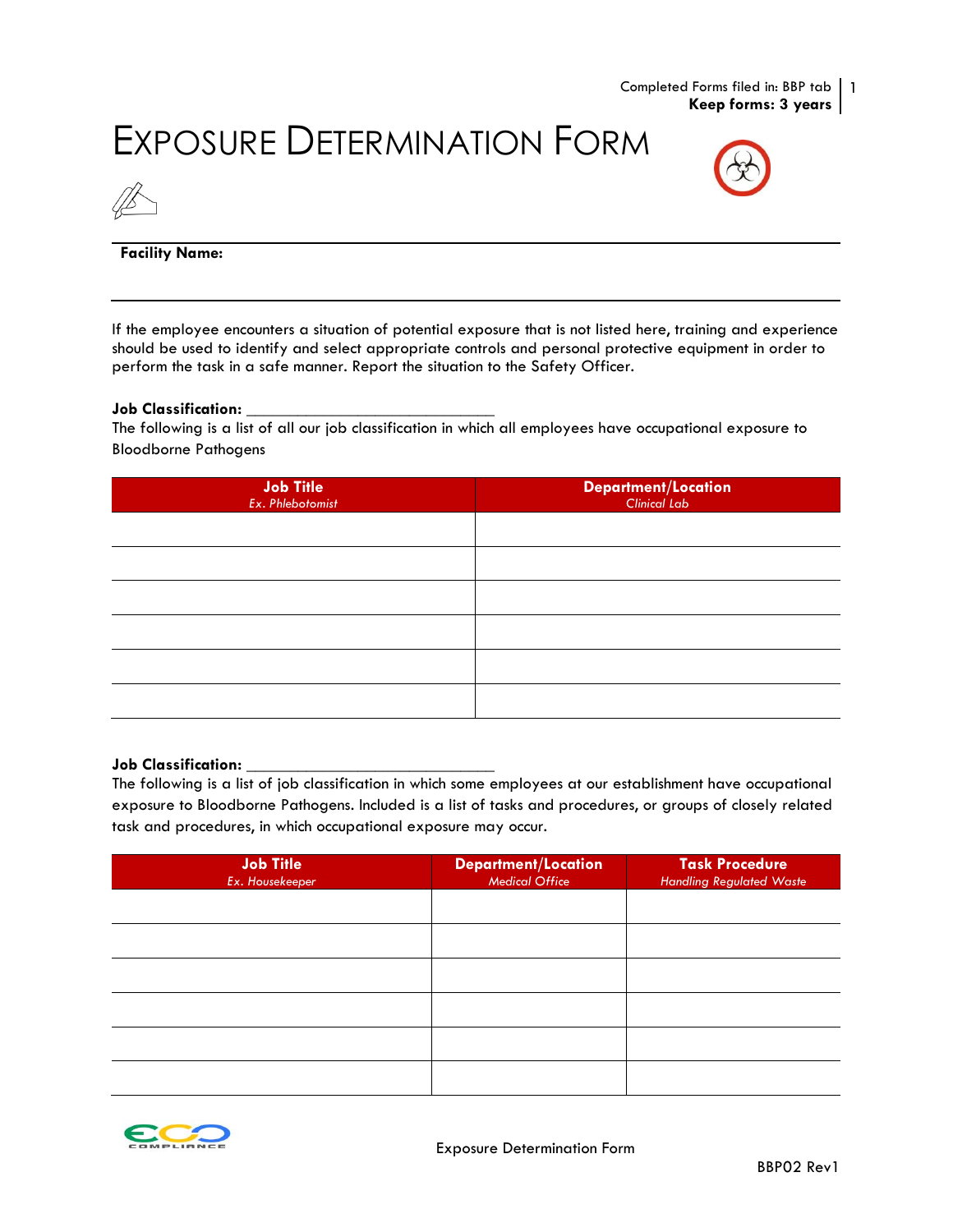Completed Forms filed in: BBP tab 1 **Keep forms: 3 years**

## EXPOSURE DETERMINATION FORM





### **Facility Name:**

If the employee encounters a situation of potential exposure that is not listed here, training and experience should be used to identify and select appropriate controls and personal protective equipment in order to perform the task in a safe manner. Report the situation to the Safety Officer.

#### **Job Classification:** *\_\_\_\_\_\_\_\_\_\_\_\_\_\_\_\_\_\_\_\_\_\_\_\_\_\_\_\_\_*

The following is a list of all our job classification in which all employees have occupational exposure to Bloodborne Pathogens

| <b>Job Title</b><br>Ex. Phlebotomist | <b>Department/Location</b><br>Clinical Lab |
|--------------------------------------|--------------------------------------------|
|                                      |                                            |
|                                      |                                            |
|                                      |                                            |
|                                      |                                            |
|                                      |                                            |
|                                      |                                            |

#### **Job Classification:** *\_\_\_\_\_\_\_\_\_\_\_\_\_\_\_\_\_\_\_\_\_\_\_\_\_\_\_\_\_*

The following is a list of job classification in which some employees at our establishment have occupational exposure to Bloodborne Pathogens. Included is a list of tasks and procedures, or groups of closely related task and procedures, in which occupational exposure may occur.

| <b>Job Title</b><br>Ex. Housekeeper | Department/Location<br>Medical Office | <b>Task Procedure</b><br><b>Handling Regulated Waste</b> |
|-------------------------------------|---------------------------------------|----------------------------------------------------------|
|                                     |                                       |                                                          |
|                                     |                                       |                                                          |
|                                     |                                       |                                                          |
|                                     |                                       |                                                          |
|                                     |                                       |                                                          |
|                                     |                                       |                                                          |